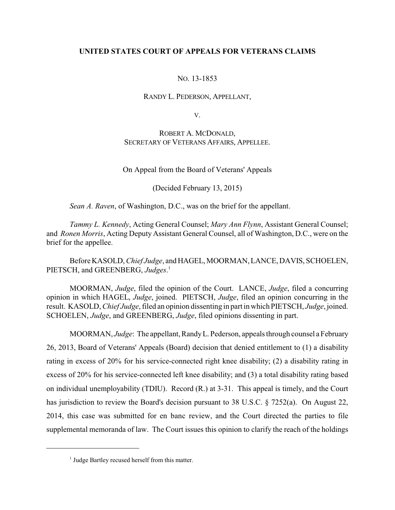## **UNITED STATES COURT OF APPEALS FOR VETERANS CLAIMS**

### NO. 13-1853

### RANDY L. PEDERSON, APPELLANT,

V.

## ROBERT A. MCDONALD, SECRETARY OF VETERANS AFFAIRS, APPELLEE.

On Appeal from the Board of Veterans' Appeals

(Decided February 13, 2015)

*Sean A. Raven*, of Washington, D.C., was on the brief for the appellant.

*Tammy L. Kennedy*, Acting General Counsel; *Mary Ann Flynn*, Assistant General Counsel; and *Ronen Morris*, Acting Deputy Assistant General Counsel, all of Washington, D.C., were on the brief for the appellee.

BeforeKASOLD, *Chief Judge*, and HAGEL, MOORMAN, LANCE, DAVIS, SCHOELEN, PIETSCH, and GREENBERG, *Judges*. 1

MOORMAN, *Judge*, filed the opinion of the Court. LANCE, *Judge*, filed a concurring opinion in which HAGEL, *Judge*, joined. PIETSCH, *Judge*, filed an opinion concurring in the result. KASOLD, *Chief Judge*, filed an opinion dissenting in part in which PIETSCH, *Judge*, joined. SCHOELEN, *Judge*, and GREENBERG, *Judge*, filed opinions dissenting in part.

MOORMAN, *Judge*: The appellant, RandyL. Pederson, appeals through counsel a February 26, 2013, Board of Veterans' Appeals (Board) decision that denied entitlement to (1) a disability rating in excess of 20% for his service-connected right knee disability; (2) a disability rating in excess of 20% for his service-connected left knee disability; and (3) a total disability rating based on individual unemployability (TDIU). Record (R.) at 3-31. This appeal is timely, and the Court has jurisdiction to review the Board's decision pursuant to 38 U.S.C. § 7252(a). On August 22, 2014, this case was submitted for en banc review, and the Court directed the parties to file supplemental memoranda of law. The Court issues this opinion to clarify the reach of the holdings

 $<sup>1</sup>$  Judge Bartley recused herself from this matter.</sup>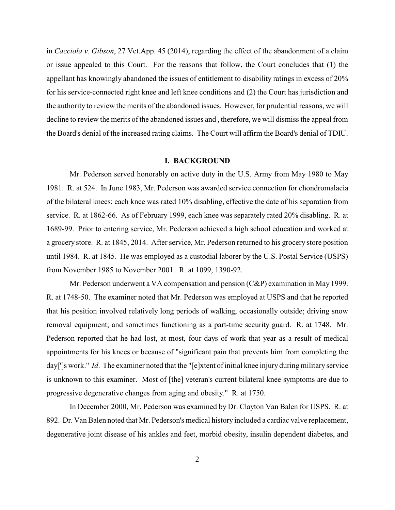in *Cacciola v. Gibson*, 27 Vet.App. 45 (2014), regarding the effect of the abandonment of a claim or issue appealed to this Court. For the reasons that follow, the Court concludes that (1) the appellant has knowingly abandoned the issues of entitlement to disability ratings in excess of 20% for his service-connected right knee and left knee conditions and (2) the Court has jurisdiction and the authority to review the merits of the abandoned issues. However, for prudential reasons, we will decline to review the merits of the abandoned issues and , therefore, we will dismiss the appeal from the Board's denial of the increased rating claims. The Court will affirm the Board's denial of TDIU.

### **I. BACKGROUND**

Mr. Pederson served honorably on active duty in the U.S. Army from May 1980 to May 1981. R. at 524. In June 1983, Mr. Pederson was awarded service connection for chondromalacia of the bilateral knees; each knee was rated 10% disabling, effective the date of his separation from service. R. at 1862-66. As of February 1999, each knee was separately rated 20% disabling. R. at 1689-99. Prior to entering service, Mr. Pederson achieved a high school education and worked at a grocery store. R. at 1845, 2014. After service, Mr. Pederson returned to his grocery store position until 1984. R. at 1845. He was employed as a custodial laborer by the U.S. Postal Service (USPS) from November 1985 to November 2001. R. at 1099, 1390-92.

Mr. Pederson underwent a VA compensation and pension (C&P) examination in May 1999. R. at 1748-50. The examiner noted that Mr. Pederson was employed at USPS and that he reported that his position involved relatively long periods of walking, occasionally outside; driving snow removal equipment; and sometimes functioning as a part-time security guard. R. at 1748. Mr. Pederson reported that he had lost, at most, four days of work that year as a result of medical appointments for his knees or because of "significant pain that prevents him from completing the day[']s work." *Id*. The examiner noted that the "[e]xtent of initial knee injury during military service is unknown to this examiner. Most of [the] veteran's current bilateral knee symptoms are due to progressive degenerative changes from aging and obesity." R. at 1750.

In December 2000, Mr. Pederson was examined by Dr. Clayton Van Balen for USPS. R. at 892. Dr. Van Balen noted that Mr. Pederson's medical history included a cardiac valve replacement, degenerative joint disease of his ankles and feet, morbid obesity, insulin dependent diabetes, and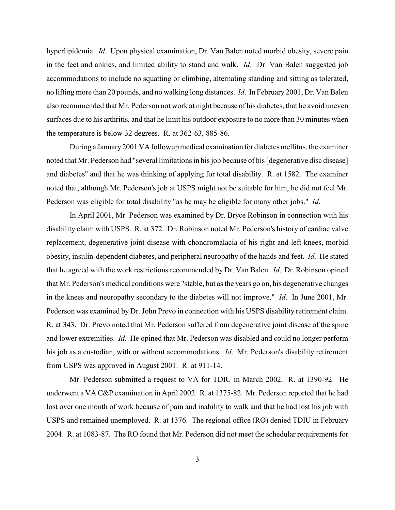hyperlipidemia. *Id*. Upon physical examination, Dr. Van Balen noted morbid obesity, severe pain in the feet and ankles, and limited ability to stand and walk. *Id*. Dr. Van Balen suggested job accommodations to include no squatting or climbing, alternating standing and sitting as tolerated, no lifting more than 20 pounds, and no walking long distances. *Id*. In February 2001, Dr. Van Balen also recommended that Mr. Pederson not work at night because of his diabetes, that he avoid uneven surfaces due to his arthritis, and that he limit his outdoor exposure to no more than 30 minutes when the temperature is below 32 degrees. R. at 362-63, 885-86.

During a January2001 VA followup medical examination for diabetes mellitus, the examiner noted that Mr. Pederson had "several limitations in his job because of his [degenerative disc disease] and diabetes" and that he was thinking of applying for total disability. R. at 1582. The examiner noted that, although Mr. Pederson's job at USPS might not be suitable for him, he did not feel Mr. Pederson was eligible for total disability "as he may be eligible for many other jobs." *Id*.

In April 2001, Mr. Pederson was examined by Dr. Bryce Robinson in connection with his disability claim with USPS. R. at 372. Dr. Robinson noted Mr. Pederson's history of cardiac valve replacement, degenerative joint disease with chondromalacia of his right and left knees, morbid obesity, insulin-dependent diabetes, and peripheral neuropathy of the hands and feet. *Id*. He stated that he agreed with the work restrictions recommended by Dr. Van Balen. *Id*. Dr. Robinson opined that Mr. Pederson's medical conditions were "stable, but as the years go on, his degenerative changes in the knees and neuropathy secondary to the diabetes will not improve." *Id*. In June 2001, Mr. Pederson was examined by Dr. John Prevo in connection with his USPS disability retirement claim. R. at 343. Dr. Prevo noted that Mr. Pederson suffered from degenerative joint disease of the spine and lower extremities. *Id*. He opined that Mr. Pederson was disabled and could no longer perform his job as a custodian, with or without accommodations. *Id*. Mr. Pederson's disability retirement from USPS was approved in August 2001. R. at 911-14.

Mr. Pederson submitted a request to VA for TDIU in March 2002. R. at 1390-92. He underwent a VA C&P examination in April 2002. R. at 1375-82. Mr. Pederson reported that he had lost over one month of work because of pain and inability to walk and that he had lost his job with USPS and remained unemployed. R. at 1376. The regional office (RO) denied TDIU in February 2004. R. at 1083-87. The RO found that Mr. Pederson did not meet the schedular requirements for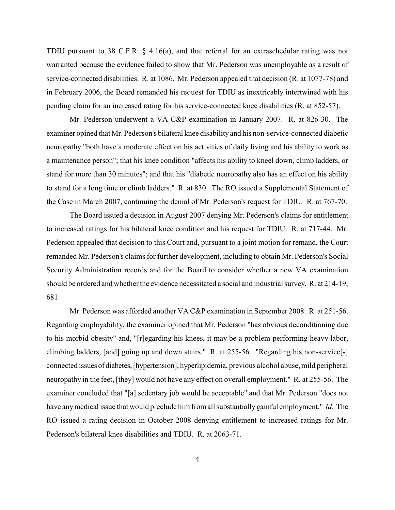TDIU pursuant to 38 C.F.R. § 4.16(a), and that referral for an extraschedular rating was not warranted because the evidence failed to show that Mr. Pederson was unemployable as a result of service-connected disabilities. R. at 1086. Mr. Pederson appealed that decision (R. at 1077-78) and in February 2006, the Board remanded his request for TDIU as inextricably intertwined with his pending claim for an increased rating for his service-connected knee disabilities (R. at 852-57).

Mr. Pederson underwent a VA C&P examination in January 2007. R. at 826-30. The examiner opined that Mr. Pederson's bilateral knee disability and his non-service-connected diabetic neuropathy "both have a moderate effect on his activities of daily living and his ability to work as a maintenance person"; that his knee condition "affects his ability to kneel down, climb ladders, or stand for more than 30 minutes"; and that his "diabetic neuropathy also has an effect on his ability to stand for a long time or climb ladders." R. at 830. The RO issued a Supplemental Statement of the Case in March 2007, continuing the denial of Mr. Pederson's request for TDIU. R. at 767-70.

The Board issued a decision in August 2007 denying Mr. Pederson's claims for entitlement to increased ratings for his bilateral knee condition and his request for TDIU. R. at 717-44. Mr. Pederson appealed that decision to this Court and, pursuant to a joint motion for remand, the Court remanded Mr. Pederson's claims for further development, including to obtain Mr. Pederson's Social Security Administration records and for the Board to consider whether a new VA examination should be ordered and whether the evidence necessitated a social and industrial survey. R. at 214-19, 681.

Mr. Pederson was afforded another VA C&P examination in September 2008. R. at 251-56. Regarding employability, the examiner opined that Mr. Pederson "has obvious deconditioning due to his morbid obesity" and, "[r]egarding his knees, it may be a problem performing heavy labor, climbing ladders, [and] going up and down stairs." R. at 255-56. "Regarding his non-service[-] connected issues of diabetes,[hypertension], hyperlipidemia, previous alcohol abuse, mild peripheral neuropathy in the feet, [they] would not have any effect on overall employment." R. at 255-56. The examiner concluded that "[a] sedentary job would be acceptable" and that Mr. Pederson "does not have anymedical issue that would preclude him from all substantiallygainful employment." *Id*. The RO issued a rating decision in October 2008 denying entitlement to increased ratings for Mr. Pederson's bilateral knee disabilities and TDIU. R. at 2063-71.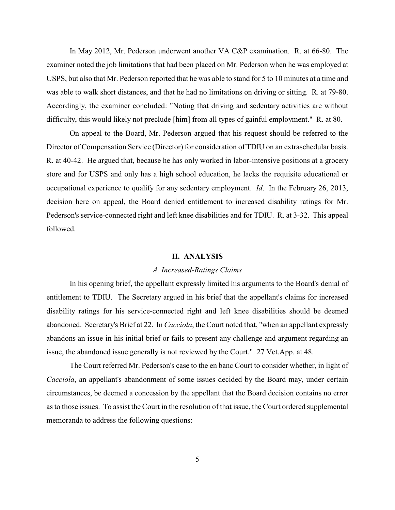In May 2012, Mr. Pederson underwent another VA C&P examination. R. at 66-80. The examiner noted the job limitations that had been placed on Mr. Pederson when he was employed at USPS, but also that Mr. Pederson reported that he was able to stand for 5 to 10 minutes at a time and was able to walk short distances, and that he had no limitations on driving or sitting. R. at 79-80. Accordingly, the examiner concluded: "Noting that driving and sedentary activities are without difficulty, this would likely not preclude [him] from all types of gainful employment." R. at 80.

On appeal to the Board, Mr. Pederson argued that his request should be referred to the Director of Compensation Service (Director) for consideration of TDIU on an extraschedular basis. R. at 40-42. He argued that, because he has only worked in labor-intensive positions at a grocery store and for USPS and only has a high school education, he lacks the requisite educational or occupational experience to qualify for any sedentary employment. *Id*. In the February 26, 2013, decision here on appeal, the Board denied entitlement to increased disability ratings for Mr. Pederson's service-connected right and left knee disabilities and for TDIU. R. at 3-32. This appeal followed.

### **II. ANALYSIS**

### *A. Increased-Ratings Claims*

In his opening brief, the appellant expressly limited his arguments to the Board's denial of entitlement to TDIU. The Secretary argued in his brief that the appellant's claims for increased disability ratings for his service-connected right and left knee disabilities should be deemed abandoned. Secretary's Brief at 22. In *Cacciola*, the Court noted that, "when an appellant expressly abandons an issue in his initial brief or fails to present any challenge and argument regarding an issue, the abandoned issue generally is not reviewed by the Court." 27 Vet.App. at 48.

The Court referred Mr. Pederson's case to the en banc Court to consider whether, in light of *Cacciola*, an appellant's abandonment of some issues decided by the Board may, under certain circumstances, be deemed a concession by the appellant that the Board decision contains no error as to those issues. To assist the Court in the resolution of that issue, the Court ordered supplemental memoranda to address the following questions: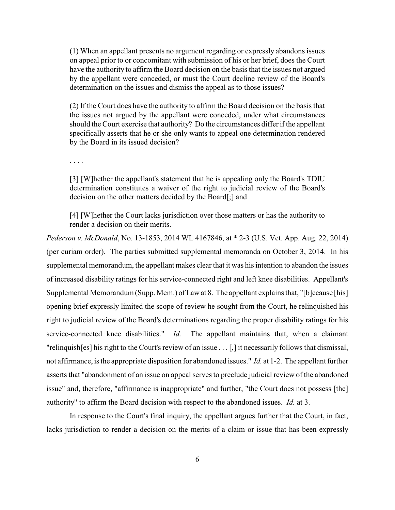(1) When an appellant presents no argument regarding or expressly abandons issues on appeal prior to or concomitant with submission of his or her brief, does the Court have the authority to affirm the Board decision on the basis that the issues not argued by the appellant were conceded, or must the Court decline review of the Board's determination on the issues and dismiss the appeal as to those issues?

(2) If the Court does have the authority to affirm the Board decision on the basis that the issues not argued by the appellant were conceded, under what circumstances should the Court exercise that authority? Do the circumstances differif the appellant specifically asserts that he or she only wants to appeal one determination rendered by the Board in its issued decision?

. . . .

[3] [W]hether the appellant's statement that he is appealing only the Board's TDIU determination constitutes a waiver of the right to judicial review of the Board's decision on the other matters decided by the Board[;] and

[4] [W]hether the Court lacks jurisdiction over those matters or has the authority to render a decision on their merits.

*Pederson v. McDonald*, No. 13-1853, 2014 WL 4167846, at \* 2-3 (U.S. Vet. App. Aug. 22, 2014) (per curiam order). The parties submitted supplemental memoranda on October 3, 2014. In his supplemental memorandum, the appellant makes clear that it was his intention to abandon the issues of increased disability ratings for his service-connected right and left knee disabilities. Appellant's Supplemental Memorandum (Supp. Mem.) of Law at 8. The appellant explains that, "[b]ecause [his] opening brief expressly limited the scope of review he sought from the Court, he relinquished his right to judicial review of the Board's determinations regarding the proper disability ratings for his service-connected knee disabilities." *Id.* The appellant maintains that, when a claimant "relinquish[es] his right to the Court's review of an issue . . . [,] it necessarily follows that dismissal, not affirmance, is the appropriate disposition for abandoned issues." *Id.* at 1-2. The appellant further asserts that "abandonment of an issue on appeal serves to preclude judicial review of the abandoned issue" and, therefore, "affirmance is inappropriate" and further, "the Court does not possess [the] authority" to affirm the Board decision with respect to the abandoned issues. *Id.* at 3.

In response to the Court's final inquiry, the appellant argues further that the Court, in fact, lacks jurisdiction to render a decision on the merits of a claim or issue that has been expressly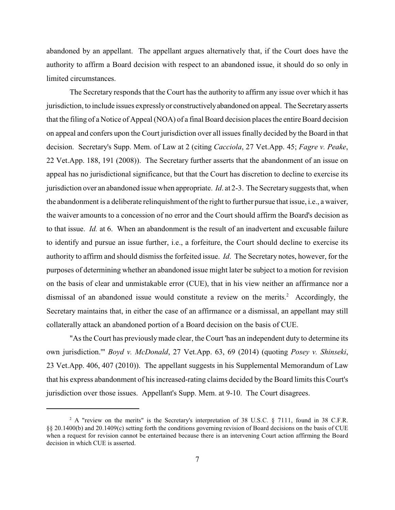abandoned by an appellant. The appellant argues alternatively that, if the Court does have the authority to affirm a Board decision with respect to an abandoned issue, it should do so only in limited circumstances.

The Secretary responds that the Court has the authority to affirm any issue over which it has jurisdiction, to include issues expresslyor constructivelyabandoned on appeal. The Secretaryasserts that the filing of a Notice of Appeal (NOA) of a final Board decision places the entire Board decision on appeal and confers upon the Court jurisdiction over all issues finally decided by the Board in that decision. Secretary's Supp. Mem. of Law at 2 (citing *Cacciola*, 27 Vet.App. 45; *Fagre v. Peake*, 22 Vet.App. 188, 191 (2008)). The Secretary further asserts that the abandonment of an issue on appeal has no jurisdictional significance, but that the Court has discretion to decline to exercise its jurisdiction over an abandoned issue when appropriate. *Id*. at 2-3. The Secretary suggests that, when the abandonment is a deliberate relinquishment of the right to further pursue that issue, i.e., a waiver, the waiver amounts to a concession of no error and the Court should affirm the Board's decision as to that issue. *Id.* at 6. When an abandonment is the result of an inadvertent and excusable failure to identify and pursue an issue further, i.e., a forfeiture, the Court should decline to exercise its authority to affirm and should dismissthe forfeited issue. *Id*. The Secretary notes, however, for the purposes of determining whether an abandoned issue might later be subject to a motion for revision on the basis of clear and unmistakable error (CUE), that in his view neither an affirmance nor a dismissal of an abandoned issue would constitute a review on the merits.<sup>2</sup> Accordingly, the Secretary maintains that, in either the case of an affirmance or a dismissal, an appellant may still collaterally attack an abandoned portion of a Board decision on the basis of CUE.

"As the Court has previouslymade clear, the Court 'has an independent duty to determine its own jurisdiction.'" *Boyd v. McDonald*, 27 Vet.App. 63, 69 (2014) (quoting *Posey v. Shinseki*, 23 Vet.App. 406, 407 (2010)). The appellant suggests in his Supplemental Memorandum of Law that his express abandonment of his increased-rating claims decided by the Board limits this Court's jurisdiction over those issues. Appellant's Supp. Mem. at 9-10. The Court disagrees.

<sup>&</sup>lt;sup>2</sup> A "review on the merits" is the Secretary's interpretation of 38 U.S.C. § 7111, found in 38 C.F.R. §§ 20.1400(b) and 20.1409(c) setting forth the conditions governing revision of Board decisions on the basis of CUE when a request for revision cannot be entertained because there is an intervening Court action affirming the Board decision in which CUE is asserted.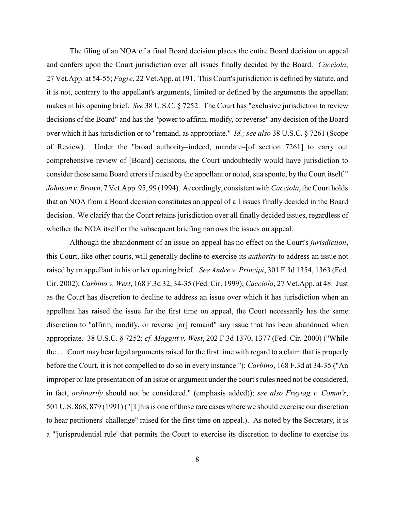The filing of an NOA of a final Board decision places the entire Board decision on appeal and confers upon the Court jurisdiction over all issues finally decided by the Board. *Cacciola*, 27 Vet.App. at 54-55; *Fagre*, 22 Vet.App. at 191. This Court's jurisdiction is defined by statute, and it is not, contrary to the appellant's arguments, limited or defined by the arguments the appellant makes in his opening brief. *See* 38 U.S.C. § 7252. The Court has "exclusive jurisdiction to review decisions of the Board" and has the "power to affirm, modify, or reverse" any decision of the Board over which it has jurisdiction or to "remand, as appropriate." *Id.; see also* 38 U.S.C. § 7261 (Scope of Review). Under the "broad authority–indeed, mandate–[of section 7261] to carry out comprehensive review of [Board] decisions, the Court undoubtedly would have jurisdiction to consider those same Board errors if raised by the appellant or noted, sua sponte, by the Court itself." *Johnson v. Brown*, 7 Vet.App. 95, 99 (1994). Accordingly, consistent with *Cacciola*, the Court holds that an NOA from a Board decision constitutes an appeal of all issues finally decided in the Board decision. We clarify that the Court retains jurisdiction over all finally decided issues, regardless of whether the NOA itself or the subsequent briefing narrows the issues on appeal.

Although the abandonment of an issue on appeal has no effect on the Court's *jurisdiction*, this Court, like other courts, will generally decline to exercise its *authority* to address an issue not raised by an appellant in his or her opening brief. *See Andre v. Principi*, 301 F.3d 1354, 1363 (Fed. Cir. 2002); *Carbino v. West*, 168 F.3d 32, 34-35 (Fed. Cir. 1999); *Cacciola*, 27 Vet.App. at 48. Just as the Court has discretion to decline to address an issue over which it has jurisdiction when an appellant has raised the issue for the first time on appeal, the Court necessarily has the same discretion to "affirm, modify, or reverse [or] remand" any issue that has been abandoned when appropriate. 38 U.S.C. § 7252; *cf. Maggitt v. West*, 202 F.3d 1370, 1377 (Fed. Cir. 2000) ("While the . . . Court may hear legal arguments raised for the first time with regard to a claim that is properly before the Court, it is not compelled to do so in every instance."); *Carbino*, 168 F.3d at 34-35 ("An improper or late presentation of an issue or argument under the court's rules need not be considered, in fact, *ordinarily* should not be considered." (emphasis added)); *see also Freytag v. Comm'r*, 501 U.S. 868, 879 (1991) ("[T]his is one of those rare cases where we should exercise our discretion to hear petitioners' challenge" raised for the first time on appeal.). As noted by the Secretary, it is a "'jurisprudential rule' that permits the Court to exercise its discretion to decline to exercise its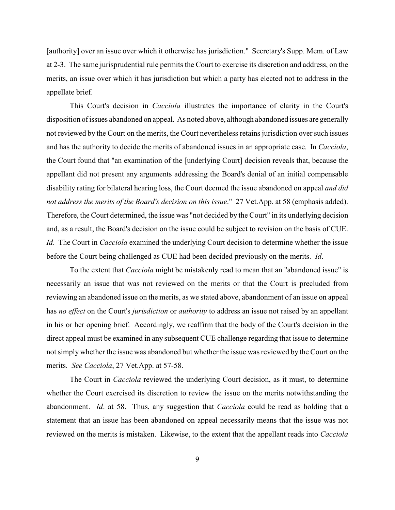[authority] over an issue over which it otherwise has jurisdiction." Secretary's Supp. Mem. of Law at 2-3. The same jurisprudential rule permits the Court to exercise its discretion and address, on the merits, an issue over which it has jurisdiction but which a party has elected not to address in the appellate brief.

This Court's decision in *Cacciola* illustrates the importance of clarity in the Court's disposition of issues abandoned on appeal. As noted above, although abandoned issues are generally not reviewed by the Court on the merits, the Court nevertheless retains jurisdiction over such issues and has the authority to decide the merits of abandoned issues in an appropriate case. In *Cacciola*, the Court found that "an examination of the [underlying Court] decision reveals that, because the appellant did not present any arguments addressing the Board's denial of an initial compensable disability rating for bilateral hearing loss, the Court deemed the issue abandoned on appeal *and did not address the merits of the Board's decision on this issue*." 27 Vet.App. at 58 (emphasis added). Therefore, the Court determined, the issue was "not decided by the Court" in its underlying decision and, as a result, the Board's decision on the issue could be subject to revision on the basis of CUE. *Id*. The Court in *Cacciola* examined the underlying Court decision to determine whether the issue before the Court being challenged as CUE had been decided previously on the merits. *Id*.

To the extent that *Cacciola* might be mistakenly read to mean that an "abandoned issue" is necessarily an issue that was not reviewed on the merits or that the Court is precluded from reviewing an abandoned issue on the merits, as we stated above, abandonment of an issue on appeal has *no effect* on the Court's *jurisdiction* or *authority* to address an issue not raised by an appellant in his or her opening brief. Accordingly, we reaffirm that the body of the Court's decision in the direct appeal must be examined in any subsequent CUE challenge regarding that issue to determine not simply whether the issue was abandoned but whether the issue was reviewed by the Court on the merits. *See Cacciola*, 27 Vet.App. at 57-58.

The Court in *Cacciola* reviewed the underlying Court decision, as it must, to determine whether the Court exercised its discretion to review the issue on the merits notwithstanding the abandonment. *Id*. at 58. Thus, any suggestion that *Cacciola* could be read as holding that a statement that an issue has been abandoned on appeal necessarily means that the issue was not reviewed on the merits is mistaken. Likewise, to the extent that the appellant reads into *Cacciola*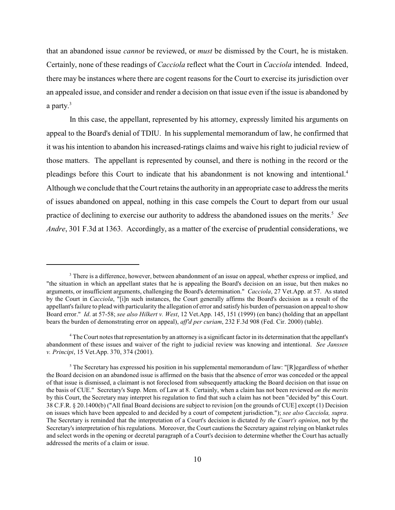that an abandoned issue *cannot* be reviewed, or *must* be dismissed by the Court, he is mistaken. Certainly, none of these readings of *Cacciola* reflect what the Court in *Cacciola* intended. Indeed, there may be instances where there are cogent reasons for the Court to exercise its jurisdiction over an appealed issue, and consider and render a decision on that issue even if the issue is abandoned by a party.<sup>3</sup>

In this case, the appellant, represented by his attorney, expressly limited his arguments on appeal to the Board's denial of TDIU. In his supplemental memorandum of law, he confirmed that it was his intention to abandon his increased-ratings claims and waive his right to judicial review of those matters. The appellant is represented by counsel, and there is nothing in the record or the pleadings before this Court to indicate that his abandonment is not knowing and intentional.<sup>4</sup> Although we conclude that the Court retains the authorityin an appropriate case to address the merits of issues abandoned on appeal, nothing in this case compels the Court to depart from our usual practice of declining to exercise our authority to address the abandoned issues on the merits.<sup>5</sup> See *Andre*, 301 F.3d at 1363. Accordingly, as a matter of the exercise of prudential considerations, we

<sup>&</sup>lt;sup>3</sup> There is a difference, however, between abandonment of an issue on appeal, whether express or implied, and "the situation in which an appellant states that he is appealing the Board's decision on an issue, but then makes no arguments, or insufficient arguments, challenging the Board's determination." *Cacciola*, 27 Vet.App. at 57. As stated by the Court in *Cacciola*, "[i]n such instances, the Court generally affirms the Board's decision as a result of the appellant's failure to plead with particularity the allegation of error and satisfy his burden of persuasion on appeal to show Board error." *Id*. at 57-58; *see also Hilkert v. West*, 12 Vet.App. 145, 151 (1999) (en banc) (holding that an appellant bears the burden of demonstrating error on appeal), *aff'd per curiam*, 232 F.3d 908 (Fed. Cir. 2000) (table).

<sup>&</sup>lt;sup>4</sup> The Court notes that representation by an attorney is a significant factor in its determination that the appellant's abandonment of these issues and waiver of the right to judicial review was knowing and intentional. *See Janssen v. Principi*, 15 Vet.App. 370, 374 (2001).

 $\delta$  The Secretary has expressed his position in his supplemental memorandum of law: "[R]egardless of whether the Board decision on an abandoned issue is affirmed on the basis that the absence of error was conceded or the appeal of that issue is dismissed, a claimant is not foreclosed from subsequently attacking the Board decision on that issue on the basis of CUE." Secretary's Supp. Mem. of Law at 8. Certainly, when a claim has not been reviewed *on the merits* by this Court, the Secretary may interpret his regulation to find that such a claim has not been "decided by" this Court. 38 C.F.R. § 20.1400(b) ("All final Board decisions are subject to revision [on the grounds of CUE] except (1) Decision on issues which have been appealed to and decided by a court of competent jurisdiction."); *see also Cacciola, supra*. The Secretary is reminded that the interpretation of a Court's decision is dictated *by the Court's opinion*, not by the Secretary's interpretation of hisregulations. Moreover, the Court cautions the Secretary against relying on blanket rules and select words in the opening or decretal paragraph of a Court's decision to determine whether the Court has actually addressed the merits of a claim or issue.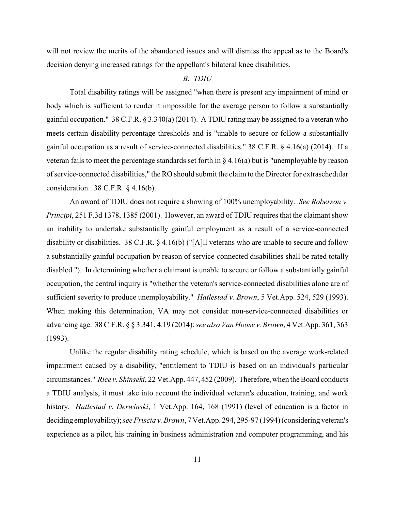will not review the merits of the abandoned issues and will dismiss the appeal as to the Board's decision denying increased ratings for the appellant's bilateral knee disabilities.

# *B. TDIU*

Total disability ratings will be assigned "when there is present any impairment of mind or body which is sufficient to render it impossible for the average person to follow a substantially gainful occupation." 38 C.F.R. § 3.340(a) (2014). A TDIU rating may be assigned to a veteran who meets certain disability percentage thresholds and is "unable to secure or follow a substantially gainful occupation as a result of service-connected disabilities." 38 C.F.R. § 4.16(a) (2014). If a veteran fails to meet the percentage standards set forth in  $\S 4.16(a)$  but is "unemployable by reason of service-connected disabilities," the RO should submit the claim to the Director for extraschedular consideration. 38 C.F.R. § 4.16(b).

An award of TDIU does not require a showing of 100% unemployability. *See Roberson v. Principi*, 251 F.3d 1378, 1385 (2001). However, an award of TDIU requires that the claimant show an inability to undertake substantially gainful employment as a result of a service-connected disability or disabilities. 38 C.F.R. § 4.16(b) ("[A]ll veterans who are unable to secure and follow a substantially gainful occupation by reason of service-connected disabilities shall be rated totally disabled."). In determining whether a claimant is unable to secure or follow a substantially gainful occupation, the central inquiry is "whether the veteran's service-connected disabilities alone are of sufficient severity to produce unemployability." *Hatlestad v. Brown*, 5 Vet.App. 524, 529 (1993). When making this determination, VA may not consider non-service-connected disabilities or advancing age. 38 C.F.R. § § 3.341, 4.19 (2014); *see also Van Hoose v. Brown*, 4 Vet.App. 361, 363 (1993).

Unlike the regular disability rating schedule, which is based on the average work-related impairment caused by a disability, "entitlement to TDIU is based on an individual's particular circumstances." *Rice v. Shinseki*, 22 Vet.App. 447, 452 (2009). Therefore, when the Board conducts a TDIU analysis, it must take into account the individual veteran's education, training, and work history. *Hatlestad v. Derwinski*, 1 Vet.App. 164, 168 (1991) (level of education is a factor in deciding employability); *see Friscia v. Brown*, 7 Vet.App. 294, 295-97 (1994) (considering veteran's experience as a pilot, his training in business administration and computer programming, and his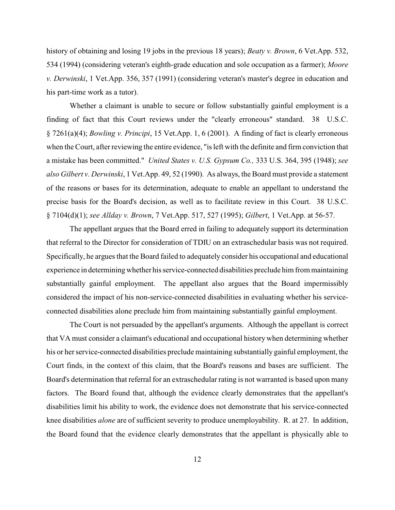history of obtaining and losing 19 jobs in the previous 18 years); *Beaty v. Brown*, 6 Vet.App. 532, 534 (1994) (considering veteran's eighth-grade education and sole occupation as a farmer); *Moore v. Derwinski*, 1 Vet.App. 356, 357 (1991) (considering veteran's master's degree in education and his part-time work as a tutor).

Whether a claimant is unable to secure or follow substantially gainful employment is a finding of fact that this Court reviews under the "clearly erroneous" standard. 38 U.S.C. § 7261(a)(4); *Bowling v. Principi*, 15 Vet.App. 1, 6 (2001). A finding of fact is clearly erroneous when the Court, after reviewing the entire evidence, "is left with the definite and firm conviction that a mistake has been committed." *United States v. U.S. Gypsum Co.,* 333 U.S. 364, 395 (1948); *see also Gilbert v. Derwinski*, 1 Vet.App. 49, 52 (1990). As always, the Board must provide a statement of the reasons or bases for its determination, adequate to enable an appellant to understand the precise basis for the Board's decision, as well as to facilitate review in this Court. 38 U.S.C. § 7104(d)(1); *see Allday v. Brown*, 7 Vet.App. 517, 527 (1995); *Gilbert*, 1 Vet.App. at 56-57.

The appellant argues that the Board erred in failing to adequately support its determination that referral to the Director for consideration of TDIU on an extraschedular basis was not required. Specifically, he argues that the Board failed to adequately consider his occupational and educational experience in determining whether his service-connected disabilities preclude him from maintaining substantially gainful employment. The appellant also argues that the Board impermissibly considered the impact of his non-service-connected disabilities in evaluating whether his serviceconnected disabilities alone preclude him from maintaining substantially gainful employment.

The Court is not persuaded by the appellant's arguments. Although the appellant is correct that VA must consider a claimant's educational and occupational history when determining whether his or her service-connected disabilities preclude maintaining substantially gainful employment, the Court finds, in the context of this claim, that the Board's reasons and bases are sufficient. The Board's determination that referral for an extraschedular rating is not warranted is based upon many factors. The Board found that, although the evidence clearly demonstrates that the appellant's disabilities limit his ability to work, the evidence does not demonstrate that his service-connected knee disabilities *alone* are of sufficient severity to produce unemployability. R. at 27. In addition, the Board found that the evidence clearly demonstrates that the appellant is physically able to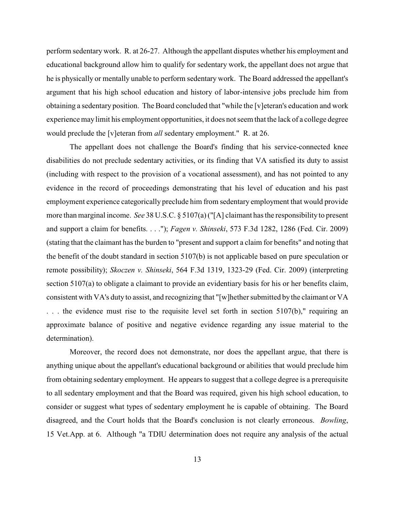perform sedentary work. R. at 26-27. Although the appellant disputes whether his employment and educational background allow him to qualify for sedentary work, the appellant does not argue that he is physically or mentally unable to perform sedentary work. The Board addressed the appellant's argument that his high school education and history of labor-intensive jobs preclude him from obtaining a sedentary position. The Board concluded that "while the [v]eteran's education and work experience may limit his employment opportunities, it does not seem that the lack of a college degree would preclude the [v]eteran from *all* sedentary employment." R. at 26.

The appellant does not challenge the Board's finding that his service-connected knee disabilities do not preclude sedentary activities, or its finding that VA satisfied its duty to assist (including with respect to the provision of a vocational assessment), and has not pointed to any evidence in the record of proceedings demonstrating that his level of education and his past employment experience categorically preclude him from sedentary employment that would provide more than marginal income. *See* 38 U.S.C. § 5107(a)("[A] claimant has the responsibility to present and support a claim for benefits. . . ."); *Fagen v. Shinseki*, 573 F.3d 1282, 1286 (Fed. Cir. 2009) (stating that the claimant has the burden to "present and support a claim for benefits" and noting that the benefit of the doubt standard in section 5107(b) is not applicable based on pure speculation or remote possibility); *Skoczen v. Shinseki*, 564 F.3d 1319, 1323-29 (Fed. Cir. 2009) (interpreting section 5107(a) to obligate a claimant to provide an evidentiary basis for his or her benefits claim, consistent with VA's duty to assist, and recognizing that "[w]hether submitted by the claimant or VA . . . the evidence must rise to the requisite level set forth in section 5107(b)," requiring an approximate balance of positive and negative evidence regarding any issue material to the determination).

Moreover, the record does not demonstrate, nor does the appellant argue, that there is anything unique about the appellant's educational background or abilities that would preclude him from obtaining sedentary employment. He appears to suggest that a college degree is a prerequisite to all sedentary employment and that the Board was required, given his high school education, to consider or suggest what types of sedentary employment he is capable of obtaining. The Board disagreed, and the Court holds that the Board's conclusion is not clearly erroneous. *Bowling*, 15 Vet.App. at 6. Although "a TDIU determination does not require any analysis of the actual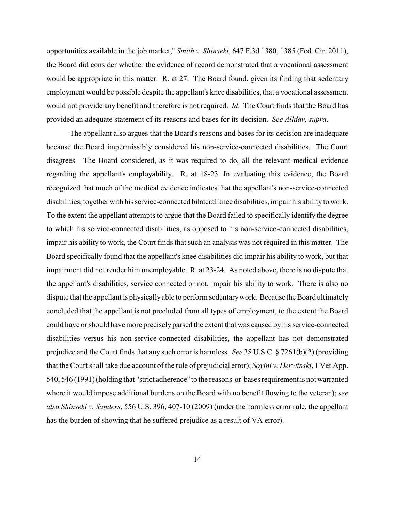opportunities available in the job market," *Smith v. Shinseki*, 647 F.3d 1380, 1385 (Fed. Cir. 2011), the Board did consider whether the evidence of record demonstrated that a vocational assessment would be appropriate in this matter. R. at 27. The Board found, given its finding that sedentary employment would be possible despite the appellant's knee disabilities, that a vocational assessment would not provide any benefit and therefore is not required. *Id*. The Court finds that the Board has provided an adequate statement of its reasons and bases for its decision. *See Allday, supra*.

The appellant also argues that the Board's reasons and bases for its decision are inadequate because the Board impermissibly considered his non-service-connected disabilities. The Court disagrees. The Board considered, as it was required to do, all the relevant medical evidence regarding the appellant's employability. R. at 18-23. In evaluating this evidence, the Board recognized that much of the medical evidence indicates that the appellant's non-service-connected disabilities, together with his service-connected bilateral knee disabilities, impair his ability to work. To the extent the appellant attempts to argue that the Board failed to specifically identify the degree to which his service-connected disabilities, as opposed to his non-service-connected disabilities, impair his ability to work, the Court finds that such an analysis was not required in this matter. The Board specifically found that the appellant's knee disabilities did impair his ability to work, but that impairment did not render him unemployable. R. at 23-24. As noted above, there is no dispute that the appellant's disabilities, service connected or not, impair his ability to work. There is also no dispute that the appellant is physicallyable to perform sedentarywork. Because the Board ultimately concluded that the appellant is not precluded from all types of employment, to the extent the Board could have or should have more precisely parsed the extent that was caused by his service-connected disabilities versus his non-service-connected disabilities, the appellant has not demonstrated prejudice and the Court finds that any such error is harmless. *See* 38 U.S.C. § 7261(b)(2) (providing that the Court shall take due account of the rule of prejudicial error); *Soyini v. Derwinski*, 1 Vet.App. 540, 546 (1991) (holding that "strict adherence" to the reasons-or-bases requirement is not warranted where it would impose additional burdens on the Board with no benefit flowing to the veteran); *see also Shinseki v. Sanders*, 556 U.S. 396, 407-10 (2009) (under the harmless error rule, the appellant has the burden of showing that he suffered prejudice as a result of VA error).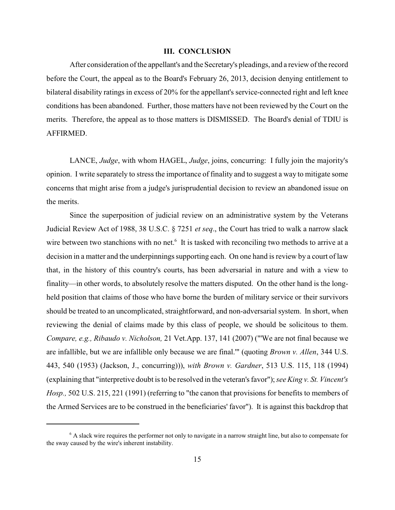#### **III. CONCLUSION**

After consideration of the appellant's and the Secretary's pleadings, and a review of the record before the Court, the appeal as to the Board's February 26, 2013, decision denying entitlement to bilateral disability ratings in excess of 20% for the appellant's service-connected right and left knee conditions has been abandoned. Further, those matters have not been reviewed by the Court on the merits. Therefore, the appeal as to those matters is DISMISSED. The Board's denial of TDIU is AFFIRMED.

LANCE, *Judge*, with whom HAGEL, *Judge*, joins, concurring: I fully join the majority's opinion. I write separately to stress the importance of finality and to suggest a way to mitigate some concerns that might arise from a judge's jurisprudential decision to review an abandoned issue on the merits.

Since the superposition of judicial review on an administrative system by the Veterans Judicial Review Act of 1988, 38 U.S.C. § 7251 *et seq*., the Court has tried to walk a narrow slack wire between two stanchions with no net. $6$  It is tasked with reconciling two methods to arrive at a decision in a matter and the underpinnings supporting each. On one hand is review by a court of law that, in the history of this country's courts, has been adversarial in nature and with a view to finality—in other words, to absolutely resolve the matters disputed. On the other hand is the longheld position that claims of those who have borne the burden of military service or their survivors should be treated to an uncomplicated, straightforward, and non-adversarial system. In short, when reviewing the denial of claims made by this class of people, we should be solicitous to them. *Compare, e.g., Ribaudo v. Nicholson,* 21 Vet.App. 137, 141 (2007) ("'We are not final because we are infallible, but we are infallible only because we are final.'" (quoting *Brown v. Allen*, 344 U.S. 443, 540 (1953) (Jackson, J., concurring))), *with Brown v. Gardner*, 513 U.S. 115, 118 (1994) (explaining that "interpretive doubt is to be resolved in the veteran's favor"); *see King v. St. Vincent's Hosp.,* 502 U.S. 215, 221 (1991) (referring to "the canon that provisions for benefits to members of the Armed Services are to be construed in the beneficiaries' favor"). It is against this backdrop that

 $6$  A slack wire requires the performer not only to navigate in a narrow straight line, but also to compensate for the sway caused by the wire's inherent instability.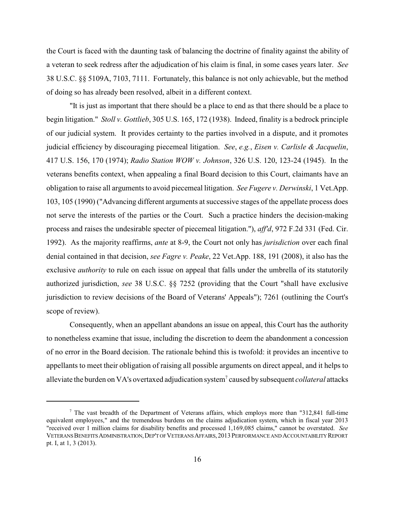the Court is faced with the daunting task of balancing the doctrine of finality against the ability of a veteran to seek redress after the adjudication of his claim is final, in some cases years later. *See* 38 U.S.C. §§ 5109A, 7103, 7111. Fortunately, this balance is not only achievable, but the method of doing so has already been resolved, albeit in a different context.

"It is just as important that there should be a place to end as that there should be a place to begin litigation." *Stoll v. Gottlieb*, 305 U.S. 165, 172 (1938). Indeed, finality is a bedrock principle of our judicial system. It provides certainty to the parties involved in a dispute, and it promotes judicial efficiency by discouraging piecemeal litigation. *See*, *e.g.*, *Eisen v. Carlisle & Jacquelin*, 417 U.S. 156, 170 (1974); *Radio Station WOW v. Johnson*, 326 U.S. 120, 123-24 (1945). In the veterans benefits context, when appealing a final Board decision to this Court, claimants have an obligation to raise all arguments to avoid piecemeal litigation. *See Fugere v. Derwinski*, 1 Vet.App. 103, 105 (1990) ("Advancing different arguments at successive stages of the appellate process does not serve the interests of the parties or the Court. Such a practice hinders the decision-making process and raises the undesirable specter of piecemeal litigation."), *aff'd*, 972 F.2d 331 (Fed. Cir. 1992). As the majority reaffirms, *ante* at 8-9, the Court not only has *jurisdiction* over each final denial contained in that decision, *see Fagre v. Peake*, 22 Vet.App. 188, 191 (2008), it also has the exclusive *authority* to rule on each issue on appeal that falls under the umbrella of its statutorily authorized jurisdiction, *see* 38 U.S.C. §§ 7252 (providing that the Court "shall have exclusive jurisdiction to review decisions of the Board of Veterans' Appeals"); 7261 (outlining the Court's scope of review).

Consequently, when an appellant abandons an issue on appeal, this Court has the authority to nonetheless examine that issue, including the discretion to deem the abandonment a concession of no error in the Board decision. The rationale behind this is twofold: it provides an incentive to appellants to meet their obligation of raising all possible arguments on direct appeal, and it helps to alleviate the burden on VA's overtaxed adjudication system<sup>7</sup> caused by subsequent *collateral* attacks

 $7$  The vast breadth of the Department of Veterans affairs, which employs more than "312,841 full-time equivalent employees," and the tremendous burdens on the claims adjudication system, which in fiscal year 2013 "received over 1 million claims for disability benefits and processed 1,169,085 claims," cannot be overstated. *See* VETERANSBENEFITSADMINISTRATION,DEP'TOFVETERANSAFFAIRS,2013PERFORMANCEAND ACCOUNTABILITYREPORT pt. I, at 1, 3 (2013).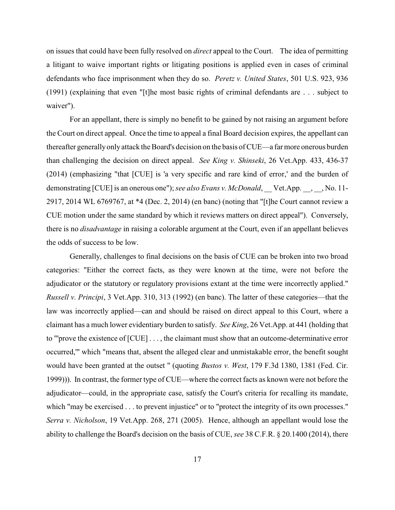on issues that could have been fully resolved on *direct* appeal to the Court. The idea of permitting a litigant to waive important rights or litigating positions is applied even in cases of criminal defendants who face imprisonment when they do so. *Peretz v. United States*, 501 U.S. 923, 936 (1991) (explaining that even "[t]he most basic rights of criminal defendants are . . . subject to waiver").

For an appellant, there is simply no benefit to be gained by not raising an argument before the Court on direct appeal. Once the time to appeal a final Board decision expires, the appellant can thereafter generallyonlyattack the Board's decision on the basis of CUE—a farmore onerous burden than challenging the decision on direct appeal. *See King v. Shinseki*, 26 Vet.App. 433, 436-37 (2014) (emphasizing "that [CUE] is 'a very specific and rare kind of error,' and the burden of demonstrating [CUE] is an onerous one"); *see also Evans v. McDonald*, Vet.App. , , No. 11-2917, 2014 WL 6769767, at \*4 (Dec. 2, 2014) (en banc) (noting that "[t]he Court cannot review a CUE motion under the same standard by which it reviews matters on direct appeal"). Conversely, there is no *disadvantage* in raising a colorable argument at the Court, even if an appellant believes the odds of success to be low.

Generally, challenges to final decisions on the basis of CUE can be broken into two broad categories: "Either the correct facts, as they were known at the time, were not before the adjudicator or the statutory or regulatory provisions extant at the time were incorrectly applied." *Russell v. Principi*, 3 Vet.App. 310, 313 (1992) (en banc). The latter of these categories—that the law was incorrectly applied—can and should be raised on direct appeal to this Court, where a claimant has a much lower evidentiary burden to satisfy. *See King*, 26 Vet.App. at 441 (holding that to "'prove the existence of [CUE] . . . , the claimant must show that an outcome-determinative error occurred,'" which "means that, absent the alleged clear and unmistakable error, the benefit sought would have been granted at the outset " (quoting *Bustos v. West*, 179 F.3d 1380, 1381 (Fed. Cir. 1999))). In contrast, the former type of CUE—where the correct facts as known were not before the adjudicator—could, in the appropriate case, satisfy the Court's criteria for recalling its mandate, which "may be exercised . . . to prevent injustice" or to "protect the integrity of its own processes." *Serra v. Nicholson*, 19 Vet.App. 268, 271 (2005). Hence, although an appellant would lose the ability to challenge the Board's decision on the basis of CUE, *see* 38 C.F.R. § 20.1400 (2014), there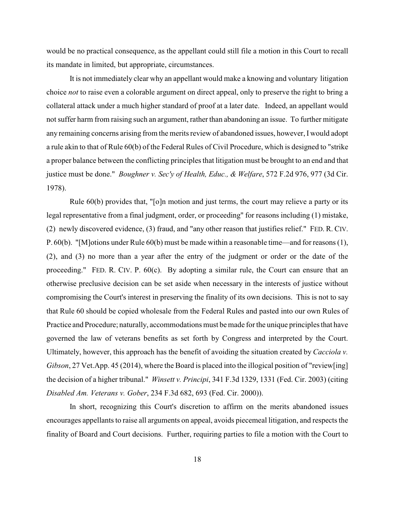would be no practical consequence, as the appellant could still file a motion in this Court to recall its mandate in limited, but appropriate, circumstances.

It is not immediately clear why an appellant would make a knowing and voluntary litigation choice *not* to raise even a colorable argument on direct appeal, only to preserve the right to bring a collateral attack under a much higher standard of proof at a later date. Indeed, an appellant would not suffer harm from raising such an argument, rather than abandoning an issue. To further mitigate any remaining concerns arising from the merits review of abandoned issues, however, I would adopt a rule akin to that of Rule 60(b) of the Federal Rules of Civil Procedure, which is designed to "strike a proper balance between the conflicting principles that litigation must be brought to an end and that justice must be done." *Boughner v. Sec'y of Health, Educ., & Welfare*, 572 F.2d 976, 977 (3d Cir. 1978).

Rule 60(b) provides that, "[o]n motion and just terms, the court may relieve a party or its legal representative from a final judgment, order, or proceeding" for reasons including (1) mistake, (2) newly discovered evidence, (3) fraud, and "any other reason that justifies relief." FED. R. CIV. P. 60(b). "[M]otions under Rule 60(b) must be made within a reasonable time—and for reasons (1), (2), and (3) no more than a year after the entry of the judgment or order or the date of the proceeding." FED. R. CIV. P. 60(c). By adopting a similar rule, the Court can ensure that an otherwise preclusive decision can be set aside when necessary in the interests of justice without compromising the Court's interest in preserving the finality of its own decisions. This is not to say that Rule 60 should be copied wholesale from the Federal Rules and pasted into our own Rules of Practice and Procedure; naturally, accommodations must be made for the unique principles that have governed the law of veterans benefits as set forth by Congress and interpreted by the Court. Ultimately, however, this approach has the benefit of avoiding the situation created by *Cacciola v. Gibson*, 27 Vet.App. 45 (2014), where the Board is placed into the illogical position of "review[ing] the decision of a higher tribunal." *Winsett v. Principi*, 341 F.3d 1329, 1331 (Fed. Cir. 2003) (citing *Disabled Am. Veterans v. Gober*, 234 F.3d 682, 693 (Fed. Cir. 2000)).

In short, recognizing this Court's discretion to affirm on the merits abandoned issues encourages appellants to raise all arguments on appeal, avoids piecemeal litigation, and respects the finality of Board and Court decisions. Further, requiring parties to file a motion with the Court to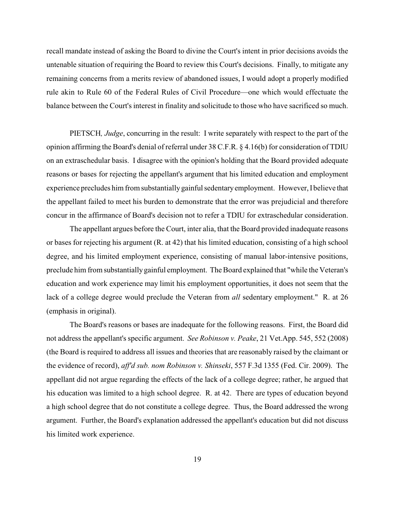recall mandate instead of asking the Board to divine the Court's intent in prior decisions avoids the untenable situation of requiring the Board to review this Court's decisions. Finally, to mitigate any remaining concerns from a merits review of abandoned issues, I would adopt a properly modified rule akin to Rule 60 of the Federal Rules of Civil Procedure—one which would effectuate the balance between the Court's interest in finality and solicitude to those who have sacrificed so much.

PIETSCH*, Judge*, concurring in the result: I write separately with respect to the part of the opinion affirming the Board's denial of referral under 38 C.F.R. § 4.16(b) for consideration of TDIU on an extraschedular basis. I disagree with the opinion's holding that the Board provided adequate reasons or bases for rejecting the appellant's argument that his limited education and employment experience precludes him from substantiallygainful sedentaryemployment. However, Ibelieve that the appellant failed to meet his burden to demonstrate that the error was prejudicial and therefore concur in the affirmance of Board's decision not to refer a TDIU for extraschedular consideration.

The appellant argues before the Court, inter alia, that the Board provided inadequate reasons or bases for rejecting his argument (R. at 42) that his limited education, consisting of a high school degree, and his limited employment experience, consisting of manual labor-intensive positions, preclude him from substantially gainful employment. The Board explained that "while the Veteran's education and work experience may limit his employment opportunities, it does not seem that the lack of a college degree would preclude the Veteran from *all* sedentary employment." R. at 26 (emphasis in original).

The Board's reasons or bases are inadequate for the following reasons. First, the Board did not address the appellant's specific argument. *See Robinson v. Peake*, 21 Vet.App. 545, 552 (2008) (the Board is required to address all issues and theories that are reasonably raised by the claimant or the evidence of record), *aff'd sub. nom Robinson v. Shinseki*, 557 F.3d 1355 (Fed. Cir. 2009). The appellant did not argue regarding the effects of the lack of a college degree; rather, he argued that his education was limited to a high school degree. R. at 42. There are types of education beyond a high school degree that do not constitute a college degree. Thus, the Board addressed the wrong argument. Further, the Board's explanation addressed the appellant's education but did not discuss his limited work experience.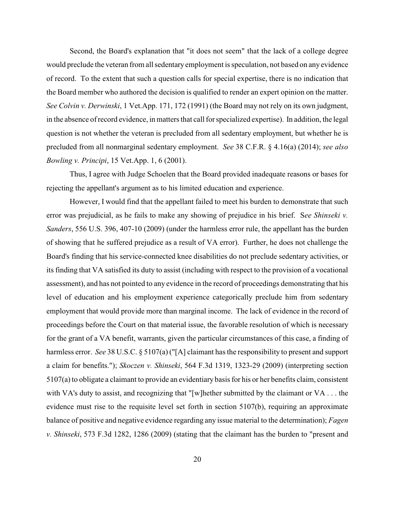Second, the Board's explanation that "it does not seem" that the lack of a college degree would preclude the veteran from all sedentary employment is speculation, not based on any evidence of record. To the extent that such a question calls for special expertise, there is no indication that the Board member who authored the decision is qualified to render an expert opinion on the matter. *See Colvin v. Derwinski*, 1 Vet.App. 171, 172 (1991) (the Board may not rely on its own judgment, in the absence of record evidence, in matters that call for specialized expertise). In addition, the legal question is not whether the veteran is precluded from all sedentary employment, but whether he is precluded from all nonmarginal sedentary employment. *See* 38 C.F.R. § 4.16(a) (2014); *see also Bowling v. Principi*, 15 Vet.App. 1, 6 (2001).

Thus, I agree with Judge Schoelen that the Board provided inadequate reasons or bases for rejecting the appellant's argument as to his limited education and experience.

However, I would find that the appellant failed to meet his burden to demonstrate that such error was prejudicial, as he fails to make any showing of prejudice in his brief. S*ee Shinseki v. Sanders*, 556 U.S. 396, 407-10 (2009) (under the harmless error rule, the appellant has the burden of showing that he suffered prejudice as a result of VA error). Further, he does not challenge the Board's finding that his service-connected knee disabilities do not preclude sedentary activities, or its finding that VA satisfied its duty to assist (including with respect to the provision of a vocational assessment), and has not pointed to any evidence in the record of proceedings demonstrating that his level of education and his employment experience categorically preclude him from sedentary employment that would provide more than marginal income. The lack of evidence in the record of proceedings before the Court on that material issue, the favorable resolution of which is necessary for the grant of a VA benefit, warrants, given the particular circumstances of this case, a finding of harmless error. *See* 38 U.S.C. § 5107(a) ("[A] claimant has the responsibility to present and support a claim for benefits."); *Skoczen v. Shinseki*, 564 F.3d 1319, 1323-29 (2009) (interpreting section  $5107(a)$  to obligate a claimant to provide an evidentiary basis for his or her benefits claim, consistent with VA's duty to assist, and recognizing that "[w]hether submitted by the claimant or VA . . . the evidence must rise to the requisite level set forth in section 5107(b), requiring an approximate balance of positive and negative evidence regarding any issue material to the determination); *Fagen v. Shinseki*, 573 F.3d 1282, 1286 (2009) (stating that the claimant has the burden to "present and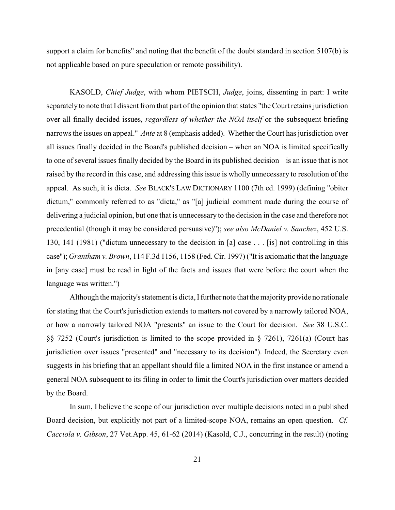support a claim for benefits" and noting that the benefit of the doubt standard in section 5107(b) is not applicable based on pure speculation or remote possibility).

KASOLD, *Chief Judge*, with whom PIETSCH, *Judge*, joins, dissenting in part: I write separately to note that I dissent from that part of the opinion that states "the Court retains jurisdiction over all finally decided issues, *regardless of whether the NOA itself* or the subsequent briefing narrows the issues on appeal." *Ante* at 8 (emphasis added). Whether the Court has jurisdiction over all issues finally decided in the Board's published decision – when an NOA is limited specifically to one of several issues finally decided by the Board in its published decision – is an issue that is not raised by the record in this case, and addressing this issue is wholly unnecessary to resolution of the appeal. As such, it is dicta. *See* BLACK'S LAW DICTIONARY 1100 (7th ed. 1999) (defining "obiter dictum," commonly referred to as "dicta," as "[a] judicial comment made during the course of delivering a judicial opinion, but one that is unnecessary to the decision in the case and therefore not precedential (though it may be considered persuasive)"); *see also McDaniel v. Sanchez*, 452 U.S. 130, 141 (1981) ("dictum unnecessary to the decision in [a] case . . . [is] not controlling in this case"); *Grantham v. Brown*, 114 F.3d 1156, 1158 (Fed. Cir. 1997) ("It is axiomatic that the language in [any case] must be read in light of the facts and issues that were before the court when the language was written.")

Although the majority's statement is dicta, I further note that the majority provide no rationale for stating that the Court's jurisdiction extends to matters not covered by a narrowly tailored NOA, or how a narrowly tailored NOA "presents" an issue to the Court for decision. *See* 38 U.S.C. §§ 7252 (Court's jurisdiction is limited to the scope provided in § 7261), 7261(a) (Court has jurisdiction over issues "presented" and "necessary to its decision"). Indeed, the Secretary even suggests in his briefing that an appellant should file a limited NOA in the first instance or amend a general NOA subsequent to its filing in order to limit the Court's jurisdiction over matters decided by the Board.

In sum, I believe the scope of our jurisdiction over multiple decisions noted in a published Board decision, but explicitly not part of a limited-scope NOA, remains an open question. *Cf. Cacciola v. Gibson*, 27 Vet.App. 45, 61-62 (2014) (Kasold, C.J., concurring in the result) (noting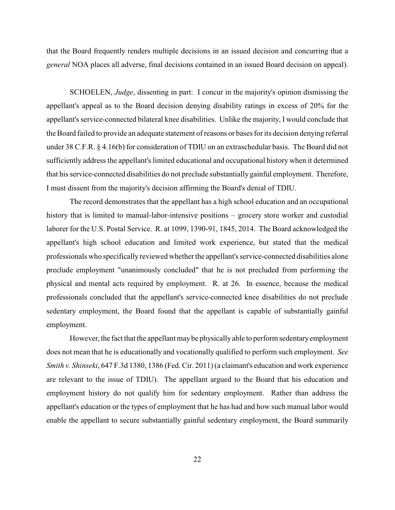that the Board frequently renders multiple decisions in an issued decision and concurring that a *general* NOA places all adverse, final decisions contained in an issued Board decision on appeal).

SCHOELEN, *Judge*, dissenting in part: I concur in the majority's opinion dismissing the appellant's appeal as to the Board decision denying disability ratings in excess of 20% for the appellant's service-connected bilateral knee disabilities. Unlike the majority, I would conclude that the Board failed to provide an adequate statement of reasons or bases for its decision denying referral under 38 C.F.R. § 4.16(b) for consideration of TDIU on an extraschedular basis. The Board did not sufficiently address the appellant's limited educational and occupational history when it determined that his service-connected disabilities do not preclude substantially gainful employment. Therefore, I must dissent from the majority's decision affirming the Board's denial of TDIU.

The record demonstrates that the appellant has a high school education and an occupational history that is limited to manual-labor-intensive positions – grocery store worker and custodial laborer for the U.S. Postal Service. R. at 1099, 1390-91, 1845, 2014. The Board acknowledged the appellant's high school education and limited work experience, but stated that the medical professionals who specifically reviewed whetherthe appellant's service-connected disabilities alone preclude employment "unanimously concluded" that he is not precluded from performing the physical and mental acts required by employment. R. at 26. In essence, because the medical professionals concluded that the appellant's service-connected knee disabilities do not preclude sedentary employment, the Board found that the appellant is capable of substantially gainful employment.

However,the fact that the appellant maybe physicallyable to perform sedentaryemployment does not mean that he is educationally and vocationally qualified to perform such employment. *See Smith v. Shinseki*, 647 F.3d 1380, 1386 (Fed. Cir. 2011) (a claimant's education and work experience are relevant to the issue of TDIU). The appellant argued to the Board that his education and employment history do not qualify him for sedentary employment. Rather than address the appellant's education or the types of employment that he has had and how such manual labor would enable the appellant to secure substantially gainful sedentary employment, the Board summarily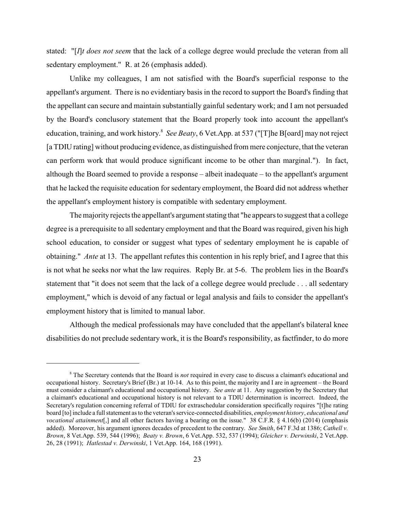stated: "[*I*]*t does not seem* that the lack of a college degree would preclude the veteran from all sedentary employment." R. at 26 (emphasis added).

Unlike my colleagues, I am not satisfied with the Board's superficial response to the appellant's argument. There is no evidentiary basis in the record to support the Board's finding that the appellant can secure and maintain substantially gainful sedentary work; and I am not persuaded by the Board's conclusory statement that the Board properly took into account the appellant's education, training, and work history.<sup>8</sup> See Beaty, 6 Vet.App. at 537 ("[T]he B[oard] may not reject [a TDIU rating] without producing evidence, as distinguished from mere conjecture, that the veteran can perform work that would produce significant income to be other than marginal."). In fact, although the Board seemed to provide a response – albeit inadequate – to the appellant's argument that he lacked the requisite education for sedentary employment, the Board did not address whether the appellant's employment history is compatible with sedentary employment.

The majority rejects the appellant's argument stating that "he appears to suggest that a college degree is a prerequisite to all sedentary employment and that the Board was required, given his high school education, to consider or suggest what types of sedentary employment he is capable of obtaining." *Ante* at 13. The appellant refutes this contention in his reply brief, and I agree that this is not what he seeks nor what the law requires. Reply Br. at 5-6. The problem lies in the Board's statement that "it does not seem that the lack of a college degree would preclude . . . all sedentary employment," which is devoid of any factual or legal analysis and fails to consider the appellant's employment history that is limited to manual labor.

Although the medical professionals may have concluded that the appellant's bilateral knee disabilities do not preclude sedentary work, it is the Board's responsibility, as factfinder, to do more

<sup>&</sup>lt;sup>8</sup> The Secretary contends that the Board is *not* required in every case to discuss a claimant's educational and occupational history. Secretary's Brief (Br.) at 10-14. As to this point, the majority and I are in agreement – the Board must consider a claimant's educational and occupational history. *See ante* at 11. Any suggestion by the Secretary that a claimant's educational and occupational history is not relevant to a TDIU determination is incorrect. Indeed, the Secretary's regulation concerning referral of TDIU for extraschedular consideration specifically requires "[t]he rating board [to] include a full statement as to the veteran's service-connected disabilities, *employment history*, *educational and vocational attainment*[,] and all other factors having a bearing on the issue." 38 C.F.R. § 4.16(b) (2014) (emphasis added). Moreover, his argument ignores decades of precedent to the contrary. *See Smith*, 647 F.3d at 1386; *Cathell v. Brown*, 8 Vet.App. 539, 544 (1996); *Beaty v. Brown*, 6 Vet.App. 532, 537 (1994); *Gleicher v. Derwinski*, 2 Vet.App. 26, 28 (1991); *Hatlestad v. Derwinski*, 1 Vet.App. 164, 168 (1991).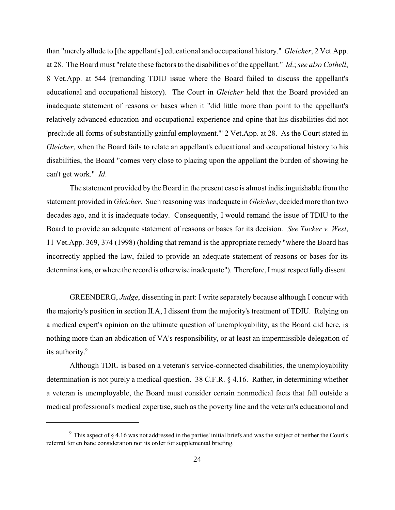than "merely allude to [the appellant's] educational and occupational history." *Gleicher*, 2 Vet.App. at 28. The Board must "relate these factors to the disabilities of the appellant." *Id*.; *see also Cathell*, 8 Vet.App. at 544 (remanding TDIU issue where the Board failed to discuss the appellant's educational and occupational history). The Court in *Gleicher* held that the Board provided an inadequate statement of reasons or bases when it "did little more than point to the appellant's relatively advanced education and occupational experience and opine that his disabilities did not 'preclude all forms of substantially gainful employment.'" 2 Vet.App. at 28. As the Court stated in *Gleicher*, when the Board fails to relate an appellant's educational and occupational history to his disabilities, the Board "comes very close to placing upon the appellant the burden of showing he can't get work." *Id*.

The statement provided by the Board in the present case is almost indistinguishable from the statement provided in *Gleicher*. Such reasoning was inadequate in *Gleicher*, decided more than two decades ago, and it is inadequate today. Consequently, I would remand the issue of TDIU to the Board to provide an adequate statement of reasons or bases for its decision. *See Tucker v. West*, 11 Vet.App. 369, 374 (1998) (holding that remand is the appropriate remedy "where the Board has incorrectly applied the law, failed to provide an adequate statement of reasons or bases for its determinations, or where the record is otherwise inadequate"). Therefore, I must respectfully dissent.

GREENBERG, *Judge*, dissenting in part: I write separately because although I concur with the majority's position in section II.A, I dissent from the majority's treatment of TDIU. Relying on a medical expert's opinion on the ultimate question of unemployability, as the Board did here, is nothing more than an abdication of VA's responsibility, or at least an impermissible delegation of its authority. 9

Although TDIU is based on a veteran's service-connected disabilities, the unemployability determination is not purely a medical question. 38 C.F.R. § 4.16. Rather, in determining whether a veteran is unemployable, the Board must consider certain nonmedical facts that fall outside a medical professional's medical expertise, such as the poverty line and the veteran's educational and

 $9$  This aspect of  $§$  4.16 was not addressed in the parties' initial briefs and was the subject of neither the Court's referral for en banc consideration nor its order for supplemental briefing.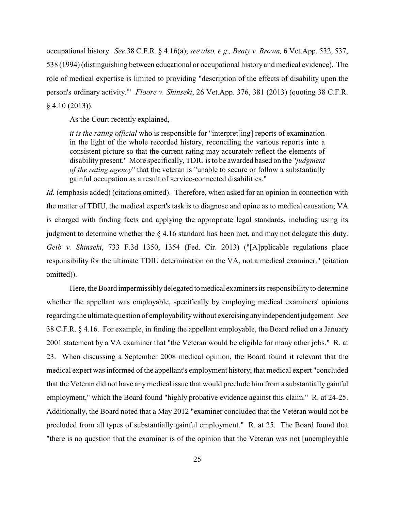occupational history. *See* 38 C.F.R. § 4.16(a); *see also, e.g., Beaty v. Brown,* 6 Vet.App. 532, 537, 538 (1994) (distinguishing between educational or occupational history and medical evidence). The role of medical expertise is limited to providing "description of the effects of disability upon the person's ordinary activity.'" *Floore v. Shinseki*, 26 Vet.App. 376, 381 (2013) (quoting 38 C.F.R.  $§$  4.10 (2013)).

As the Court recently explained,

*it is the rating official* who is responsible for "interpret[ing] reports of examination in the light of the whole recorded history, reconciling the various reports into a consistent picture so that the current rating may accurately reflect the elements of disability present." More specifically, TDIU is to be awarded based on the "*judgment of the rating agency*" that the veteran is "unable to secure or follow a substantially gainful occupation as a result of service-connected disabilities."

*Id.* (emphasis added) (citations omitted). Therefore, when asked for an opinion in connection with the matter of TDIU, the medical expert's task is to diagnose and opine as to medical causation; VA is charged with finding facts and applying the appropriate legal standards, including using its judgment to determine whether the § 4.16 standard has been met, and may not delegate this duty. *Geib v. Shinseki*, 733 F.3d 1350, 1354 (Fed. Cir. 2013) ("[A]pplicable regulations place responsibility for the ultimate TDIU determination on the VA, not a medical examiner." (citation omitted)).

Here, the Board impermissibly delegated tomedical examiners its responsibilityto determine whether the appellant was employable, specifically by employing medical examiners' opinions regarding the ultimate question of employabilitywithout exercising anyindependent judgement. *See* 38 C.F.R. § 4.16. For example, in finding the appellant employable, the Board relied on a January 2001 statement by a VA examiner that "the Veteran would be eligible for many other jobs." R. at 23. When discussing a September 2008 medical opinion, the Board found it relevant that the medical expert was informed of the appellant's employment history; that medical expert "concluded that the Veteran did not have anymedical issue that would preclude him from a substantially gainful employment," which the Board found "highly probative evidence against this claim." R. at 24-25. Additionally, the Board noted that a May 2012 "examiner concluded that the Veteran would not be precluded from all types of substantially gainful employment." R. at 25. The Board found that "there is no question that the examiner is of the opinion that the Veteran was not [unemployable